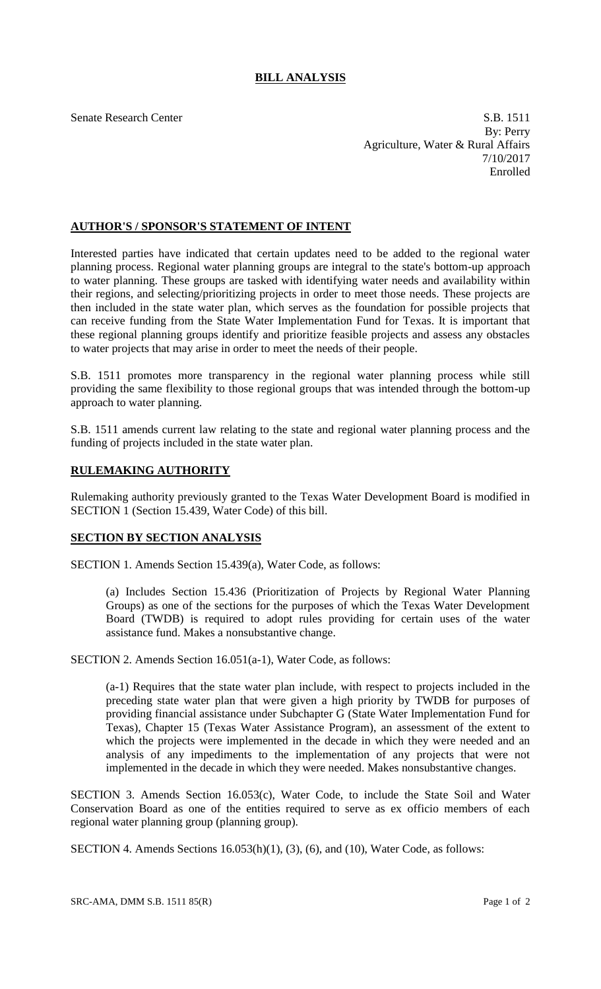## **BILL ANALYSIS**

Senate Research Center S.B. 1511 By: Perry Agriculture, Water & Rural Affairs 7/10/2017 Enrolled

## **AUTHOR'S / SPONSOR'S STATEMENT OF INTENT**

Interested parties have indicated that certain updates need to be added to the regional water planning process. Regional water planning groups are integral to the state's bottom-up approach to water planning. These groups are tasked with identifying water needs and availability within their regions, and selecting/prioritizing projects in order to meet those needs. These projects are then included in the state water plan, which serves as the foundation for possible projects that can receive funding from the State Water Implementation Fund for Texas. It is important that these regional planning groups identify and prioritize feasible projects and assess any obstacles to water projects that may arise in order to meet the needs of their people.

S.B. 1511 promotes more transparency in the regional water planning process while still providing the same flexibility to those regional groups that was intended through the bottom-up approach to water planning.

S.B. 1511 amends current law relating to the state and regional water planning process and the funding of projects included in the state water plan.

## **RULEMAKING AUTHORITY**

Rulemaking authority previously granted to the Texas Water Development Board is modified in SECTION 1 (Section 15.439, Water Code) of this bill.

## **SECTION BY SECTION ANALYSIS**

SECTION 1. Amends Section 15.439(a), Water Code, as follows:

(a) Includes Section 15.436 (Prioritization of Projects by Regional Water Planning Groups) as one of the sections for the purposes of which the Texas Water Development Board (TWDB) is required to adopt rules providing for certain uses of the water assistance fund. Makes a nonsubstantive change.

SECTION 2. Amends Section 16.051(a-1), Water Code, as follows:

(a-1) Requires that the state water plan include, with respect to projects included in the preceding state water plan that were given a high priority by TWDB for purposes of providing financial assistance under Subchapter G (State Water Implementation Fund for Texas), Chapter 15 (Texas Water Assistance Program), an assessment of the extent to which the projects were implemented in the decade in which they were needed and an analysis of any impediments to the implementation of any projects that were not implemented in the decade in which they were needed. Makes nonsubstantive changes.

SECTION 3. Amends Section 16.053(c), Water Code, to include the State Soil and Water Conservation Board as one of the entities required to serve as ex officio members of each regional water planning group (planning group).

SECTION 4. Amends Sections 16.053(h)(1), (3), (6), and (10), Water Code, as follows: